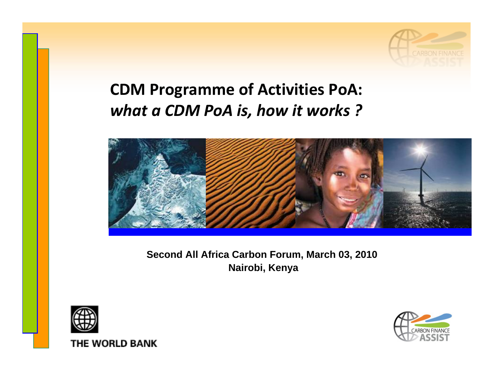

#### **CDM Programme of Activities PoA:** *what a CDM PoA is, how it works ?*



#### **Second All Africa Carbon Forum, March 03, 2010 Nairobi, Kenya**





THE WORLD BANK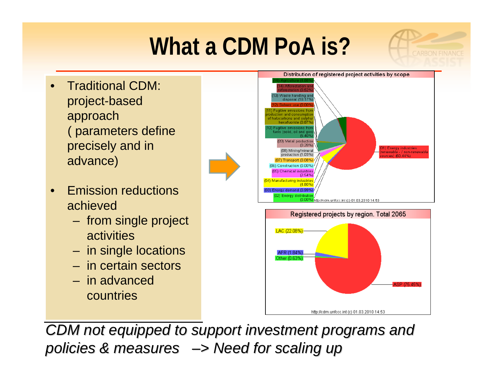## **What a CDM PoA is?**

- Traditional CDM: Traditional CDM: project-based project-based approach approach ( parameters define ( parameters define precisely and in precisely and in advance) advance)
- Emission reductions Emission reductions achieved achieved
	- from single project from single project activities activities
	- in single locations in single locations
	- in certain sectors– in certain sectors
	- in advanced in advanced countries countries



*CARRON FINA* 



*CDM not equipped to support investment programs and CDM not equipped to support investment programs and*  policies & measures  $\rightarrow$  Need for scaling up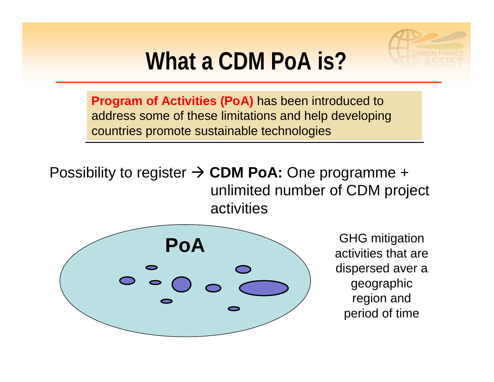

## **What a CDM PoA is?**

**Program of Activities (PoA)** has been introduced to **Program of Activities (PoA)** has been introduced to address some of these limitations and help developing address some of these limitations and help developing countries promote sustainable technologies countries promote sustainable technologies

#### Possibility to register → **CDM PoA:** One programme + unlimited number of CDM project activities



GHG mitigation activities that are dispersed aver a geographic region and period of time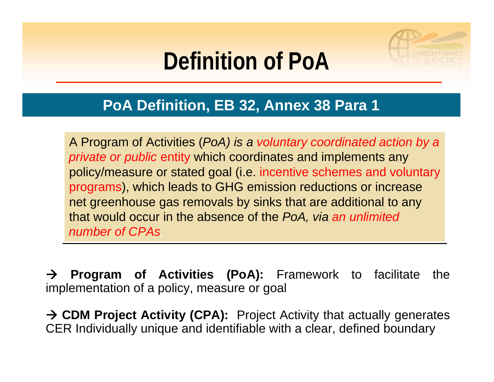## **Definition of PoA**



A Program of Activities (*PoA) is a voluntary coordinated action by a*  A Program of Activities (*PoA) is a voluntary coordinated action by a private or public* entity which coordinates and implements any *private or public* entity which coordinates and implements any policy/measure or stated goal (i.e. incentive schemes and voluntary policy/measure or stated goal (i.e. incentive schemes and voluntary programs), which leads to GHG emission reductions or increase programs), which leads to GHG emission reductions or increase net greenhouse gas removals by sinks that are additional to any net greenhouse gas removals by sinks that are additional to any that would occur in the absence of the *PoA, via an unlimited*  that would occur in the absence of the *PoA, via an unlimited number of CPAs; number of CPAs;*

 $\rightarrow$  **Program of Activities (PoA):** Framework to facilitate the implementation of a policy, measure or goal

→ CDM Project Activity (CPA): Project Activity that actually generates CER Individually unique and identifiable with a clear, defined boundary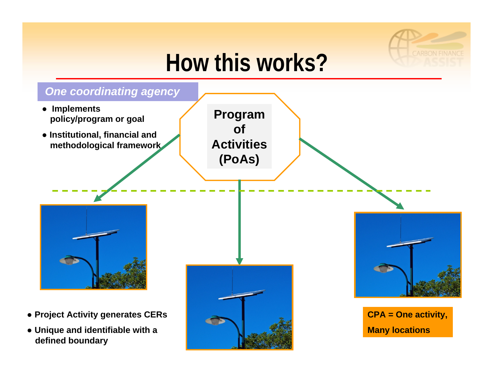

## **How this works?**

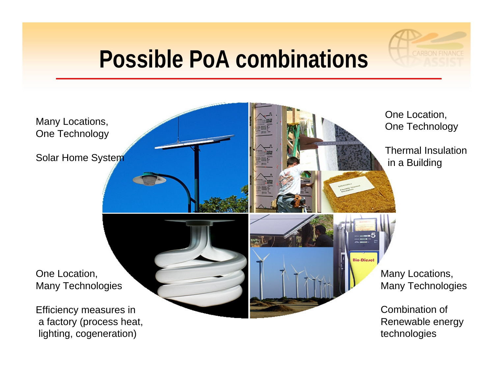### **Possible PoA combinations**

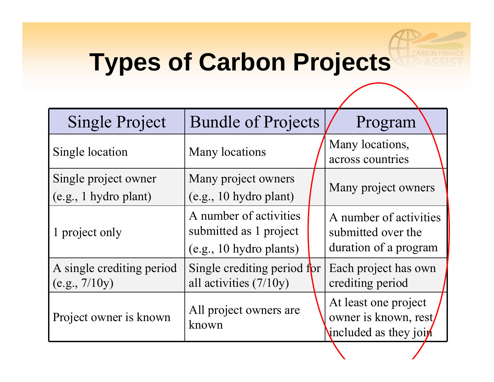## **Types of Carbon Projects**

| <b>Single Project</b>                         | <b>Bundle of Projects</b>                                                   | Program                                                                |
|-----------------------------------------------|-----------------------------------------------------------------------------|------------------------------------------------------------------------|
| Single location                               | <b>Many locations</b>                                                       | Many locations,<br>across countries                                    |
| Single project owner<br>(e.g., 1 hydro plant) | Many project owners<br>(e.g., 10 hydro plant)                               | Many project owners                                                    |
| 1 project only                                | A number of activities<br>submitted as 1 project<br>(e.g., 10 hydro plants) | A number of activities<br>submitted over the<br>duration of a program  |
| A single crediting period<br>(e.g., 7/10y)    | Single crediting period for<br>all activities (7/10y)                       | Each project has own<br>crediting period                               |
| Project owner is known                        | All project owners are<br>known                                             | At least one project<br>owner is known, rest/<br>included as they join |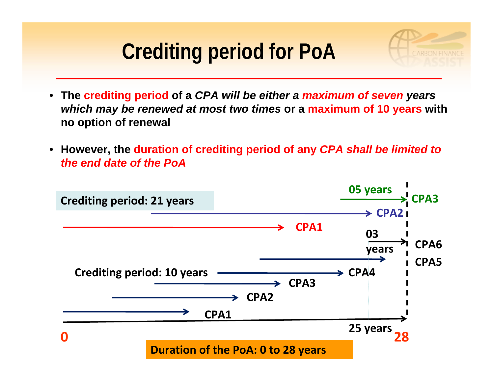### **Crediting period for PoA**

- **The crediting period of a** *CPA will be either a maximum of seven years which may be renewed at most two times* **or a maximum of 10 years with no option of renewal**
- **However, the duration of crediting period of any** *CPA shall be limited to the end date of the PoA*

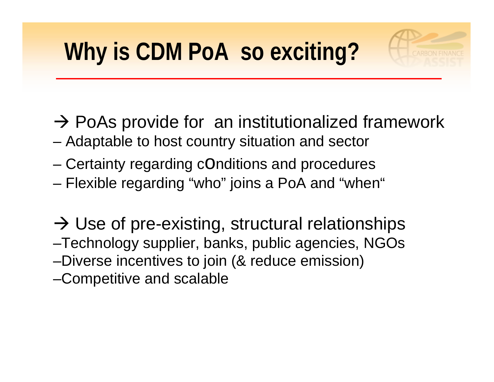- $\rightarrow$  PoAs provide for an institutionalized framework
- Adaptable to host country situation and sector
- Certainty regarding cOnditions and procedures
- Flexible regarding "who" joins a PoA and "when"
- $\rightarrow$  Use of pre-existing, structural relationships
- –Technology supplier, banks, public agencies, NGOs –Diverse incentives to join (& reduce emission)
- –Competitive and scalable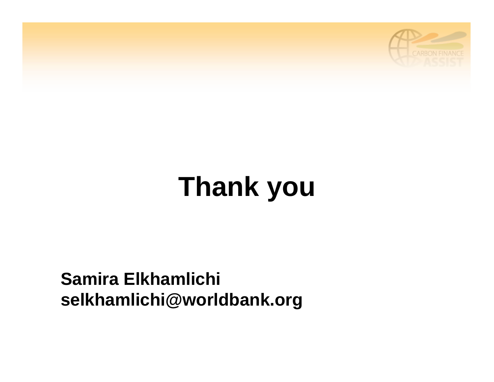

# **Thank you**

#### **Samira Elkhamlichi selkhamlichi@worldbank.org**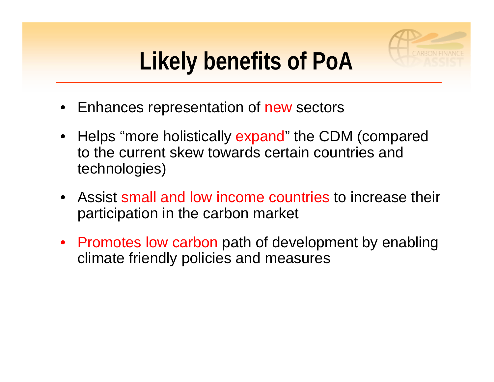

## **Likely benefits of PoA**

- Enhances representation of new sectors
- Helps "more holistically expand" the CDM (compared to the current skew towards certain countries and technologies)
- Assist small and low income countries to increase their participation in the carbon market
- Promotes low carbon path of development by enabling climate friendly policies and measures